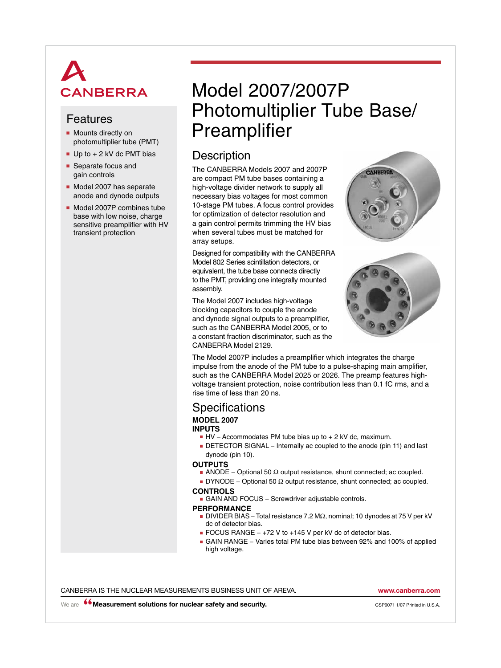# **CANBERRA**

- Mounts directly on photomultiplier tube (PMT)
- $\blacksquare$  Up to  $+$  2 kV dc PMT bias
- Separate focus and gain controls
- Model 2007 has separate anode and dynode outputs
- Model 2007P combines tube base with low noise, charge sensitive preamplifier with HV transient protection

## Model 2007/2007P Photomultiplier Tube Base/ Features<br>• Mounts directly on **Preamplifier**

## **Description**

The CANBERRA Models 2007 and 2007P are compact PM tube bases containing a high-voltage divider network to supply all necessary bias voltages for most common 10-stage PM tubes. A focus control provides for optimization of detector resolution and a gain control permits trimming the HV bias when several tubes must be matched for array setups.

Designed for compatibility with the CANBERRA Model 802 Series scintillation detectors, or equivalent, the tube base connects directly to the PMT, providing one integrally mounted assembly.

The Model 2007 includes high-voltage blocking capacitors to couple the anode and dynode signal outputs to a preamplifier, such as the CANBERRA Model 2005, or to a constant fraction discriminator, such as the CANBERRA Model 2129.





The Model 2007P includes a preamplifier which integrates the charge impulse from the anode of the PM tube to a pulse-shaping main amplifier, such as the CANBERRA Model 2025 or 2026. The preamp features highvoltage transient protection, noise contribution less than 0.1 fC rms, and a rise time of less than 20 ns.

## **Specifications MODEL 2007**

#### **INPUTS**

- HV Accommodates PM tube bias up to + 2 kV dc, maximum.
- DETECTOR SIGNAL Internally ac coupled to the anode (pin 11) and last dynode (pin 10).

#### **OUTPUTS**

- **■** ANODE Optional 50  $\Omega$  output resistance, shunt connected; ac coupled.
- DYNODE Optional 50 Ω output resistance, shunt connected; ac coupled.

#### **controls**

■ GAIN AND FOCUS – Screwdriver adjustable controls.

#### **performance**

- DIVIDER BIAS Total resistance 7.2 MΩ, nominal; 10 dynodes at 75 V per kV dc of detector bias.
- FOCUS RANGE +72 V to +145 V per kV dc of detector bias.
- GAIN RANGE Varies total PM tube bias between 92% and 100% of applied high voltage.

CANBERRA IS THE NUCLEAR MEASUREMENTS BUSINESS UNIT OF AREVA. **www.canberra.com**

We are **<sup>66</sup> Measurement solutions for nuclear safety and security. CSP0071 1/07 Printed in U.S.A.**